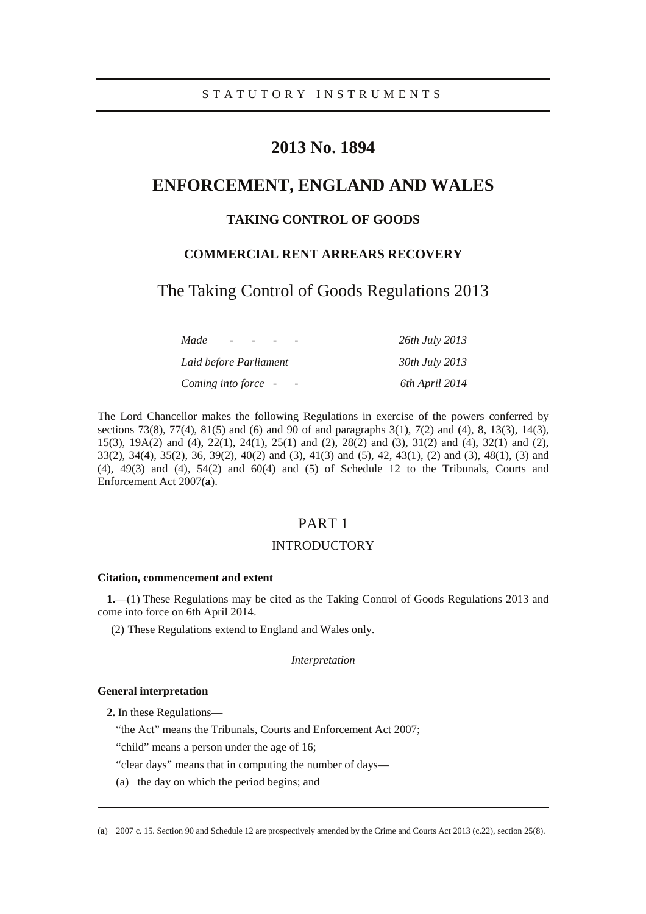# **2013 No. 1894**

# **ENFORCEMENT, ENGLAND AND WALES**

## **TAKING CONTROL OF GOODS**

## **COMMERCIAL RENT ARREARS RECOVERY**

The Taking Control of Goods Regulations 2013

| Made                   | 26th July 2013 |
|------------------------|----------------|
| Laid before Parliament | 30th July 2013 |
| Coming into force -    | 6th April 2014 |

The Lord Chancellor makes the following Regulations in exercise of the powers conferred by sections 73(8), 77(4), 81(5) and (6) and 90 of and paragraphs 3(1), 7(2) and (4), 8, 13(3), 14(3), 15(3), 19A(2) and (4), 22(1), 24(1), 25(1) and (2), 28(2) and (3), 31(2) and (4), 32(1) and (2), 33(2), 34(4), 35(2), 36, 39(2), 40(2) and (3), 41(3) and (5), 42, 43(1), (2) and (3), 48(1), (3) and  $(4)$ ,  $49(3)$  and  $(4)$ ,  $54(2)$  and  $60(4)$  and  $(5)$  of Schedule 12 to the Tribunals, Courts and Enforcement Act 2007(**a**).

## PART 1

## INTRODUCTORY

### **Citation, commencement and extent**

**1.**—(1) These Regulations may be cited as the Taking Control of Goods Regulations 2013 and come into force on 6th April 2014.

(2) These Regulations extend to England and Wales only.

#### *Interpretation*

#### **General interpretation**

-

**2.** In these Regulations—

"the Act" means the Tribunals, Courts and Enforcement Act 2007;

"child" means a person under the age of 16;

"clear days" means that in computing the number of days—

(a) the day on which the period begins; and

<sup>(</sup>**a**) 2007 c. 15. Section 90 and Schedule 12 are prospectively amended by the Crime and Courts Act 2013 (c.22), section 25(8).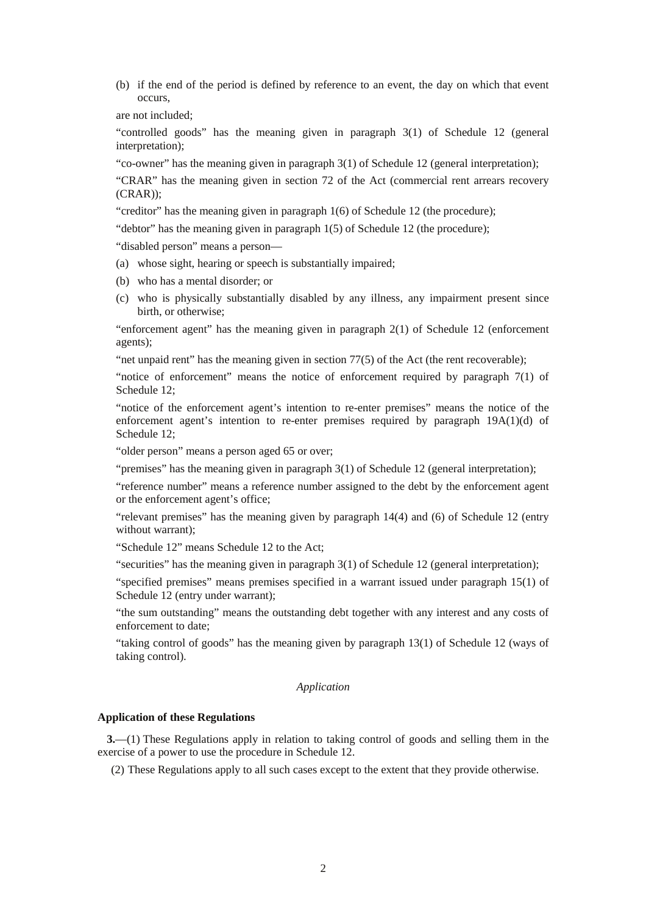(b) if the end of the period is defined by reference to an event, the day on which that event occurs,

are not included;

"controlled goods" has the meaning given in paragraph 3(1) of Schedule 12 (general interpretation);

"co-owner" has the meaning given in paragraph 3(1) of Schedule 12 (general interpretation);

"CRAR" has the meaning given in section 72 of the Act (commercial rent arrears recovery (CRAR));

"creditor" has the meaning given in paragraph 1(6) of Schedule 12 (the procedure);

"debtor" has the meaning given in paragraph  $1(5)$  of Schedule 12 (the procedure);

"disabled person" means a person—

- (a) whose sight, hearing or speech is substantially impaired;
- (b) who has a mental disorder; or
- (c) who is physically substantially disabled by any illness, any impairment present since birth, or otherwise;

"enforcement agent" has the meaning given in paragraph 2(1) of Schedule 12 (enforcement agents);

"net unpaid rent" has the meaning given in section 77(5) of the Act (the rent recoverable);

"notice of enforcement" means the notice of enforcement required by paragraph  $7(1)$  of Schedule 12;

"notice of the enforcement agent's intention to re-enter premises" means the notice of the enforcement agent's intention to re-enter premises required by paragraph 19A(1)(d) of Schedule 12;

"older person" means a person aged 65 or over;

"premises" has the meaning given in paragraph 3(1) of Schedule 12 (general interpretation);

"reference number" means a reference number assigned to the debt by the enforcement agent or the enforcement agent's office;

"relevant premises" has the meaning given by paragraph 14(4) and (6) of Schedule 12 (entry without warrant);

"Schedule 12" means Schedule 12 to the Act;

"securities" has the meaning given in paragraph 3(1) of Schedule 12 (general interpretation);

"specified premises" means premises specified in a warrant issued under paragraph 15(1) of Schedule 12 (entry under warrant);

"the sum outstanding" means the outstanding debt together with any interest and any costs of enforcement to date;

"taking control of goods" has the meaning given by paragraph 13(1) of Schedule 12 (ways of taking control).

### *Application*

### **Application of these Regulations**

**3.**—(1) These Regulations apply in relation to taking control of goods and selling them in the exercise of a power to use the procedure in Schedule 12.

(2) These Regulations apply to all such cases except to the extent that they provide otherwise.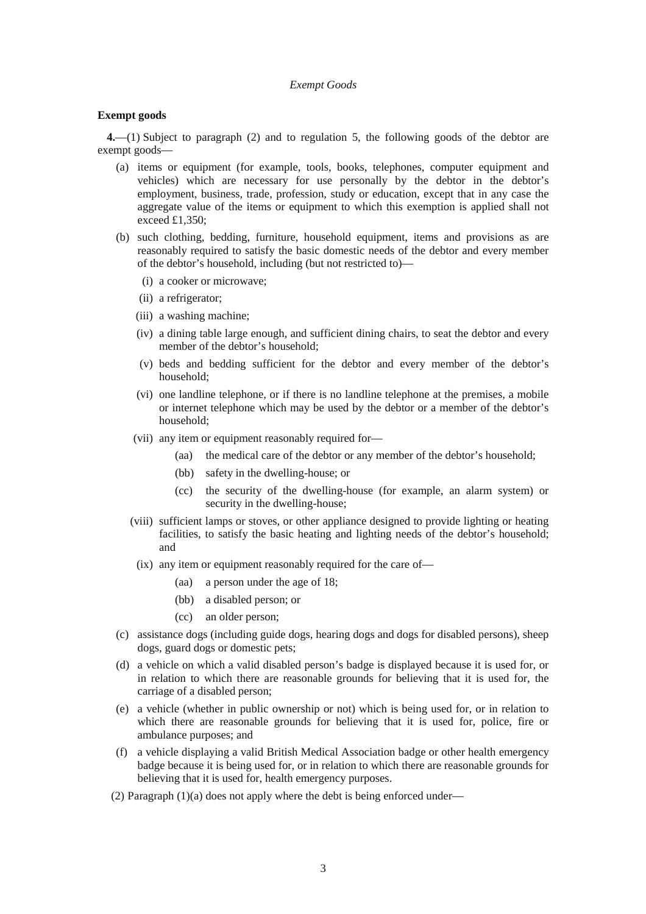#### *Exempt Goods*

#### **Exempt goods**

**4.**—(1) Subject to paragraph (2) and to regulation 5, the following goods of the debtor are exempt goods—

- (a) items or equipment (for example, tools, books, telephones, computer equipment and vehicles) which are necessary for use personally by the debtor in the debtor's employment, business, trade, profession, study or education, except that in any case the aggregate value of the items or equipment to which this exemption is applied shall not exceed £1,350;
- (b) such clothing, bedding, furniture, household equipment, items and provisions as are reasonably required to satisfy the basic domestic needs of the debtor and every member of the debtor's household, including (but not restricted to)—
	- (i) a cooker or microwave;
	- (ii) a refrigerator;
	- (iii) a washing machine;
	- (iv) a dining table large enough, and sufficient dining chairs, to seat the debtor and every member of the debtor's household;
	- (v) beds and bedding sufficient for the debtor and every member of the debtor's household;
	- (vi) one landline telephone, or if there is no landline telephone at the premises, a mobile or internet telephone which may be used by the debtor or a member of the debtor's household;
	- (vii) any item or equipment reasonably required for—
		- (aa) the medical care of the debtor or any member of the debtor's household;
		- (bb) safety in the dwelling-house; or
		- (cc) the security of the dwelling-house (for example, an alarm system) or security in the dwelling-house;
	- (viii) sufficient lamps or stoves, or other appliance designed to provide lighting or heating facilities, to satisfy the basic heating and lighting needs of the debtor's household; and
	- (ix) any item or equipment reasonably required for the care of—
		- (aa) a person under the age of 18;
		- (bb) a disabled person; or
		- (cc) an older person;
- (c) assistance dogs (including guide dogs, hearing dogs and dogs for disabled persons), sheep dogs, guard dogs or domestic pets;
- (d) a vehicle on which a valid disabled person's badge is displayed because it is used for, or in relation to which there are reasonable grounds for believing that it is used for, the carriage of a disabled person;
- (e) a vehicle (whether in public ownership or not) which is being used for, or in relation to which there are reasonable grounds for believing that it is used for, police, fire or ambulance purposes; and
- (f) a vehicle displaying a valid British Medical Association badge or other health emergency badge because it is being used for, or in relation to which there are reasonable grounds for believing that it is used for, health emergency purposes.
- (2) Paragraph (1)(a) does not apply where the debt is being enforced under—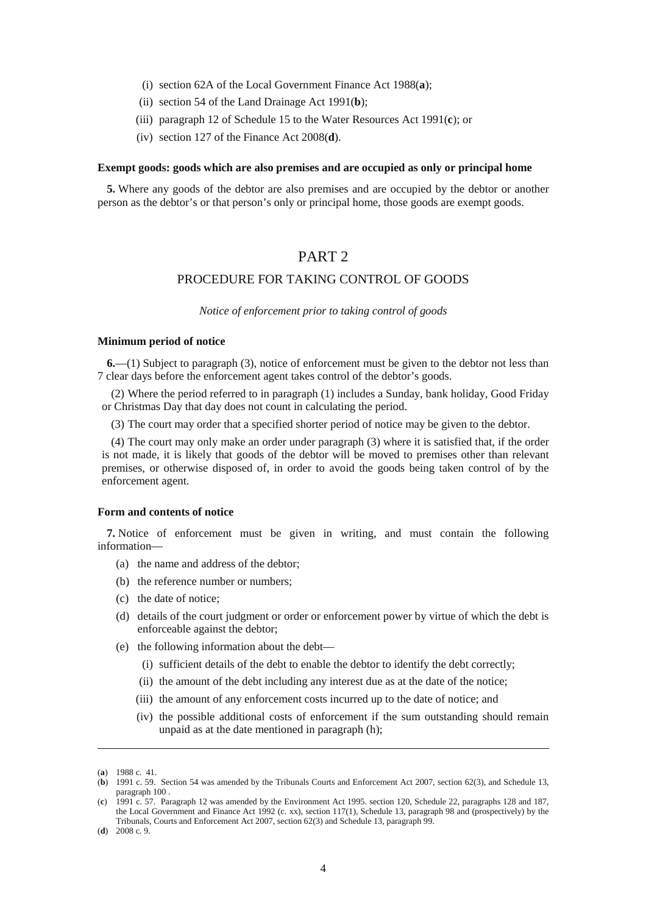- (i) section 62A of the Local Government Finance Act 1988(**a**);
- (ii) section 54 of the Land Drainage Act 1991(**b**);
- (iii) paragraph 12 of Schedule 15 to the Water Resources Act 1991(**c**); or
- (iv) section 127 of the Finance Act 2008(**d**).

#### **Exempt goods: goods which are also premises and are occupied as only or principal home**

**5.** Where any goods of the debtor are also premises and are occupied by the debtor or another person as the debtor's or that person's only or principal home, those goods are exempt goods.

## PART<sub>2</sub>

## PROCEDURE FOR TAKING CONTROL OF GOODS

*Notice of enforcement prior to taking control of goods* 

#### **Minimum period of notice**

**6.**—(1) Subject to paragraph (3), notice of enforcement must be given to the debtor not less than 7 clear days before the enforcement agent takes control of the debtor's goods.

(2) Where the period referred to in paragraph (1) includes a Sunday, bank holiday, Good Friday or Christmas Day that day does not count in calculating the period.

(3) The court may order that a specified shorter period of notice may be given to the debtor.

(4) The court may only make an order under paragraph (3) where it is satisfied that, if the order is not made, it is likely that goods of the debtor will be moved to premises other than relevant premises, or otherwise disposed of, in order to avoid the goods being taken control of by the enforcement agent.

#### **Form and contents of notice**

**7.** Notice of enforcement must be given in writing, and must contain the following information—

- (a) the name and address of the debtor;
- (b) the reference number or numbers;
- (c) the date of notice;
- (d) details of the court judgment or order or enforcement power by virtue of which the debt is enforceable against the debtor;
- (e) the following information about the debt—
	- (i) sufficient details of the debt to enable the debtor to identify the debt correctly;
	- (ii) the amount of the debt including any interest due as at the date of the notice;
	- (iii) the amount of any enforcement costs incurred up to the date of notice; and
	- (iv) the possible additional costs of enforcement if the sum outstanding should remain unpaid as at the date mentioned in paragraph (h);

-

<sup>(</sup>**a**) 1988 c. 41.

<sup>(</sup>**b**) 1991 c. 59. Section 54 was amended by the Tribunals Courts and Enforcement Act 2007, section 62(3), and Schedule 13, paragraph 100 .

<sup>(</sup>**c**) 1991 c. 57. Paragraph 12 was amended by the Environment Act 1995. section 120, Schedule 22, paragraphs 128 and 187, the Local Government and Finance Act 1992 (c. xx), section 117(1), Schedule 13, paragraph 98 and (prospectively) by the Tribunals, Courts and Enforcement Act 2007, section 62(3) and Schedule 13, paragraph 99.

<sup>(</sup>**d**) 2008 c. 9.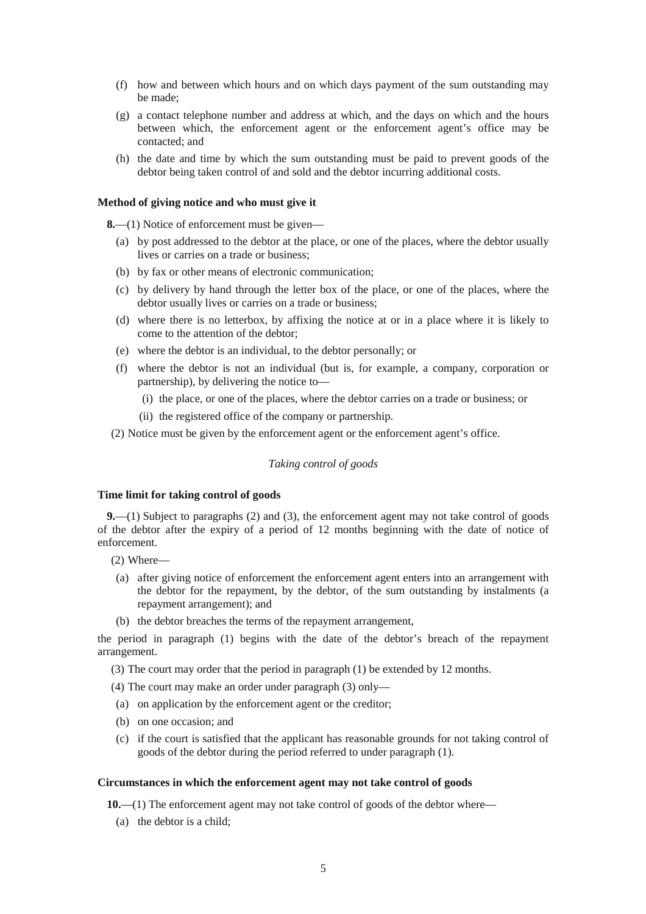- (f) how and between which hours and on which days payment of the sum outstanding may be made;
- (g) a contact telephone number and address at which, and the days on which and the hours between which, the enforcement agent or the enforcement agent's office may be contacted; and
- (h) the date and time by which the sum outstanding must be paid to prevent goods of the debtor being taken control of and sold and the debtor incurring additional costs.

#### **Method of giving notice and who must give it**

**8.**—(1) Notice of enforcement must be given—

- (a) by post addressed to the debtor at the place, or one of the places, where the debtor usually lives or carries on a trade or business;
- (b) by fax or other means of electronic communication;
- (c) by delivery by hand through the letter box of the place, or one of the places, where the debtor usually lives or carries on a trade or business;
- (d) where there is no letterbox, by affixing the notice at or in a place where it is likely to come to the attention of the debtor;
- (e) where the debtor is an individual, to the debtor personally; or
- (f) where the debtor is not an individual (but is, for example, a company, corporation or partnership), by delivering the notice to—
	- (i) the place, or one of the places, where the debtor carries on a trade or business; or
	- (ii) the registered office of the company or partnership.

(2) Notice must be given by the enforcement agent or the enforcement agent's office.

### *Taking control of goods*

#### **Time limit for taking control of goods**

**9.**—(1) Subject to paragraphs (2) and (3), the enforcement agent may not take control of goods of the debtor after the expiry of a period of 12 months beginning with the date of notice of enforcement.

- (2) Where—
- (a) after giving notice of enforcement the enforcement agent enters into an arrangement with the debtor for the repayment, by the debtor, of the sum outstanding by instalments (a repayment arrangement); and
- (b) the debtor breaches the terms of the repayment arrangement,

the period in paragraph (1) begins with the date of the debtor's breach of the repayment arrangement.

(3) The court may order that the period in paragraph (1) be extended by 12 months.

(4) The court may make an order under paragraph (3) only—

- (a) on application by the enforcement agent or the creditor;
- (b) on one occasion; and
- (c) if the court is satisfied that the applicant has reasonable grounds for not taking control of goods of the debtor during the period referred to under paragraph (1).

#### **Circumstances in which the enforcement agent may not take control of goods**

**10.**—(1) The enforcement agent may not take control of goods of the debtor where—

(a) the debtor is a child;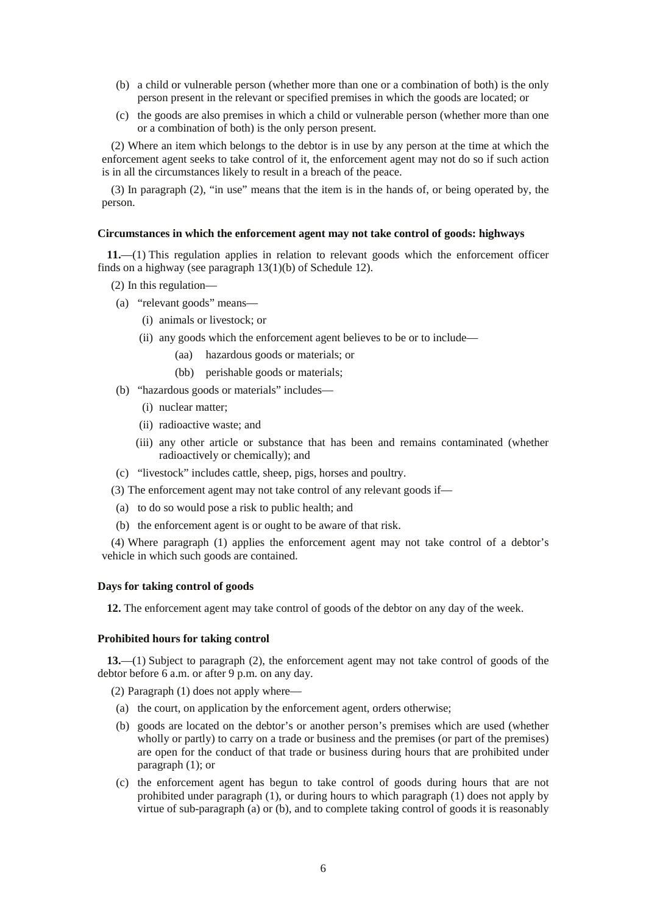- (b) a child or vulnerable person (whether more than one or a combination of both) is the only person present in the relevant or specified premises in which the goods are located; or
- (c) the goods are also premises in which a child or vulnerable person (whether more than one or a combination of both) is the only person present.

(2) Where an item which belongs to the debtor is in use by any person at the time at which the enforcement agent seeks to take control of it, the enforcement agent may not do so if such action is in all the circumstances likely to result in a breach of the peace.

(3) In paragraph (2), "in use" means that the item is in the hands of, or being operated by, the person.

#### **Circumstances in which the enforcement agent may not take control of goods: highways**

**11.**—(1) This regulation applies in relation to relevant goods which the enforcement officer finds on a highway (see paragraph 13(1)(b) of Schedule 12).

- (2) In this regulation—
- (a) "relevant goods" means—
	- (i) animals or livestock; or
	- (ii) any goods which the enforcement agent believes to be or to include—
		- (aa) hazardous goods or materials; or
		- (bb) perishable goods or materials;
- (b) "hazardous goods or materials" includes—
	- (i) nuclear matter;
	- (ii) radioactive waste; and
	- (iii) any other article or substance that has been and remains contaminated (whether radioactively or chemically); and
- (c) "livestock" includes cattle, sheep, pigs, horses and poultry.
- (3) The enforcement agent may not take control of any relevant goods if—
- (a) to do so would pose a risk to public health; and
- (b) the enforcement agent is or ought to be aware of that risk.

(4) Where paragraph (1) applies the enforcement agent may not take control of a debtor's vehicle in which such goods are contained.

### **Days for taking control of goods**

**12.** The enforcement agent may take control of goods of the debtor on any day of the week.

#### **Prohibited hours for taking control**

**13.**—(1) Subject to paragraph (2), the enforcement agent may not take control of goods of the debtor before 6 a.m. or after 9 p.m. on any day.

(2) Paragraph (1) does not apply where—

- (a) the court, on application by the enforcement agent, orders otherwise;
- (b) goods are located on the debtor's or another person's premises which are used (whether wholly or partly) to carry on a trade or business and the premises (or part of the premises) are open for the conduct of that trade or business during hours that are prohibited under paragraph (1); or
- (c) the enforcement agent has begun to take control of goods during hours that are not prohibited under paragraph (1), or during hours to which paragraph (1) does not apply by virtue of sub-paragraph (a) or (b), and to complete taking control of goods it is reasonably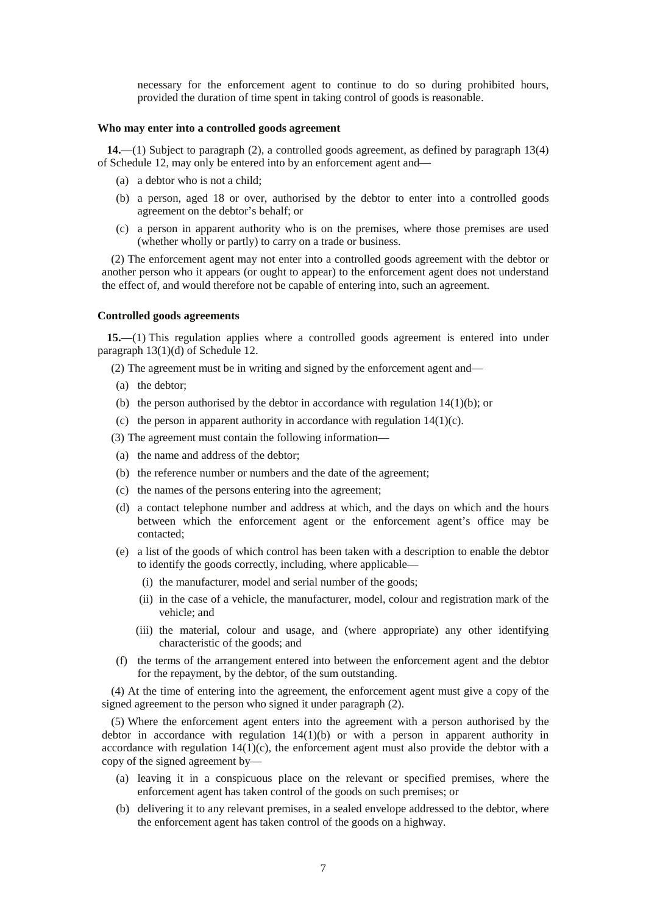necessary for the enforcement agent to continue to do so during prohibited hours, provided the duration of time spent in taking control of goods is reasonable.

### **Who may enter into a controlled goods agreement**

**14.**—(1) Subject to paragraph (2), a controlled goods agreement, as defined by paragraph 13(4) of Schedule 12, may only be entered into by an enforcement agent and—

- (a) a debtor who is not a child;
- (b) a person, aged 18 or over, authorised by the debtor to enter into a controlled goods agreement on the debtor's behalf; or
- (c) a person in apparent authority who is on the premises, where those premises are used (whether wholly or partly) to carry on a trade or business.

(2) The enforcement agent may not enter into a controlled goods agreement with the debtor or another person who it appears (or ought to appear) to the enforcement agent does not understand the effect of, and would therefore not be capable of entering into, such an agreement.

## **Controlled goods agreements**

**15.**—(1) This regulation applies where a controlled goods agreement is entered into under paragraph 13(1)(d) of Schedule 12.

(2) The agreement must be in writing and signed by the enforcement agent and—

- (a) the debtor;
- (b) the person authorised by the debtor in accordance with regulation  $14(1)(b)$ ; or
- (c) the person in apparent authority in accordance with regulation  $14(1)(c)$ .
- (3) The agreement must contain the following information—
- (a) the name and address of the debtor;
- (b) the reference number or numbers and the date of the agreement;
- (c) the names of the persons entering into the agreement;
- (d) a contact telephone number and address at which, and the days on which and the hours between which the enforcement agent or the enforcement agent's office may be contacted;
- (e) a list of the goods of which control has been taken with a description to enable the debtor to identify the goods correctly, including, where applicable—
	- (i) the manufacturer, model and serial number of the goods;
	- (ii) in the case of a vehicle, the manufacturer, model, colour and registration mark of the vehicle; and
	- (iii) the material, colour and usage, and (where appropriate) any other identifying characteristic of the goods; and
- (f) the terms of the arrangement entered into between the enforcement agent and the debtor for the repayment, by the debtor, of the sum outstanding.

(4) At the time of entering into the agreement, the enforcement agent must give a copy of the signed agreement to the person who signed it under paragraph (2).

(5) Where the enforcement agent enters into the agreement with a person authorised by the debtor in accordance with regulation 14(1)(b) or with a person in apparent authority in accordance with regulation  $14(1)(c)$ , the enforcement agent must also provide the debtor with a copy of the signed agreement by—

- (a) leaving it in a conspicuous place on the relevant or specified premises, where the enforcement agent has taken control of the goods on such premises; or
- (b) delivering it to any relevant premises, in a sealed envelope addressed to the debtor, where the enforcement agent has taken control of the goods on a highway.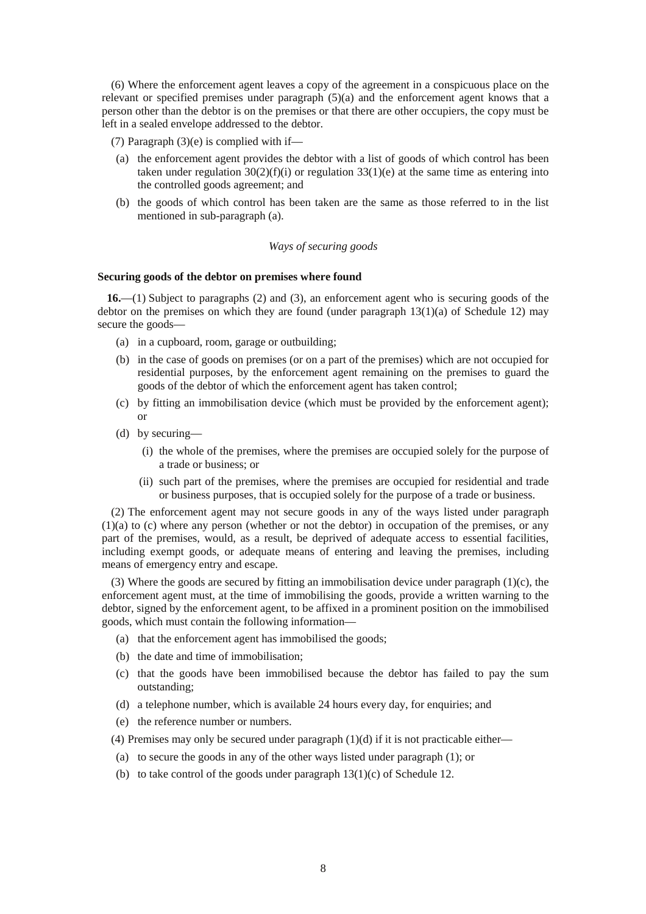(6) Where the enforcement agent leaves a copy of the agreement in a conspicuous place on the relevant or specified premises under paragraph (5)(a) and the enforcement agent knows that a person other than the debtor is on the premises or that there are other occupiers, the copy must be left in a sealed envelope addressed to the debtor.

(7) Paragraph  $(3)(e)$  is complied with if—

- (a) the enforcement agent provides the debtor with a list of goods of which control has been taken under regulation  $30(2)(f)(i)$  or regulation  $33(1)(e)$  at the same time as entering into the controlled goods agreement; and
- (b) the goods of which control has been taken are the same as those referred to in the list mentioned in sub-paragraph (a).

## *Ways of securing goods*

#### **Securing goods of the debtor on premises where found**

**16.**—(1) Subject to paragraphs (2) and (3), an enforcement agent who is securing goods of the debtor on the premises on which they are found (under paragraph  $13(1)(a)$  of Schedule 12) may secure the goods—

- (a) in a cupboard, room, garage or outbuilding;
- (b) in the case of goods on premises (or on a part of the premises) which are not occupied for residential purposes, by the enforcement agent remaining on the premises to guard the goods of the debtor of which the enforcement agent has taken control;
- (c) by fitting an immobilisation device (which must be provided by the enforcement agent); or
- (d) by securing—
	- (i) the whole of the premises, where the premises are occupied solely for the purpose of a trade or business; or
	- (ii) such part of the premises, where the premises are occupied for residential and trade or business purposes, that is occupied solely for the purpose of a trade or business.

(2) The enforcement agent may not secure goods in any of the ways listed under paragraph (1)(a) to (c) where any person (whether or not the debtor) in occupation of the premises, or any part of the premises, would, as a result, be deprived of adequate access to essential facilities, including exempt goods, or adequate means of entering and leaving the premises, including means of emergency entry and escape.

(3) Where the goods are secured by fitting an immobilisation device under paragraph (1)(c), the enforcement agent must, at the time of immobilising the goods, provide a written warning to the debtor, signed by the enforcement agent, to be affixed in a prominent position on the immobilised goods, which must contain the following information—

- (a) that the enforcement agent has immobilised the goods;
- (b) the date and time of immobilisation;
- (c) that the goods have been immobilised because the debtor has failed to pay the sum outstanding;
- (d) a telephone number, which is available 24 hours every day, for enquiries; and
- (e) the reference number or numbers.
- (4) Premises may only be secured under paragraph  $(1)(d)$  if it is not practicable either—
- (a) to secure the goods in any of the other ways listed under paragraph (1); or
- (b) to take control of the goods under paragraph 13(1)(c) of Schedule 12.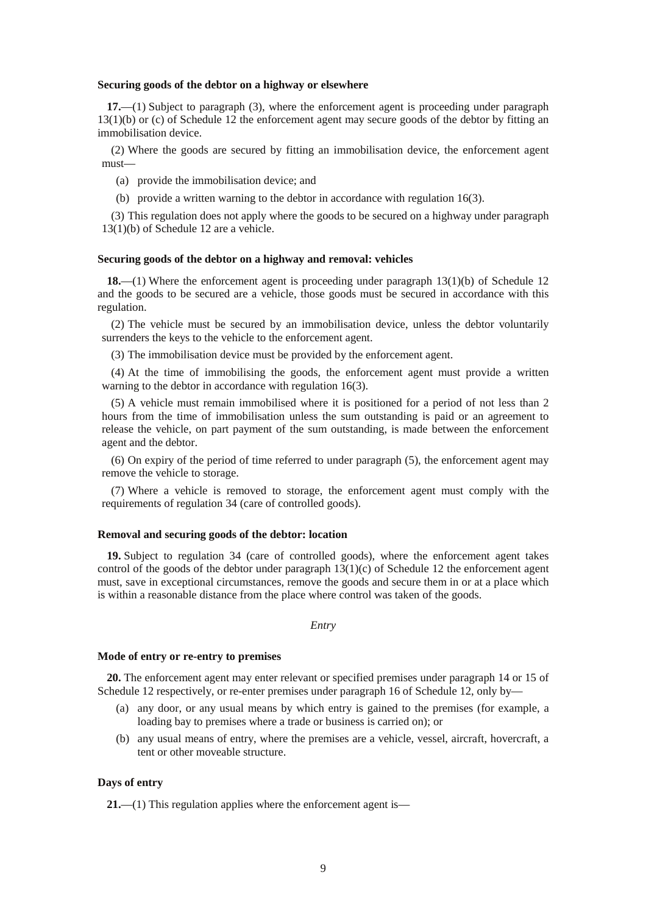#### **Securing goods of the debtor on a highway or elsewhere**

**17.**—(1) Subject to paragraph (3), where the enforcement agent is proceeding under paragraph 13(1)(b) or (c) of Schedule 12 the enforcement agent may secure goods of the debtor by fitting an immobilisation device.

(2) Where the goods are secured by fitting an immobilisation device, the enforcement agent must—

(a) provide the immobilisation device; and

(b) provide a written warning to the debtor in accordance with regulation 16(3).

(3) This regulation does not apply where the goods to be secured on a highway under paragraph 13(1)(b) of Schedule 12 are a vehicle.

#### **Securing goods of the debtor on a highway and removal: vehicles**

**18.**—(1) Where the enforcement agent is proceeding under paragraph 13(1)(b) of Schedule 12 and the goods to be secured are a vehicle, those goods must be secured in accordance with this regulation.

(2) The vehicle must be secured by an immobilisation device, unless the debtor voluntarily surrenders the keys to the vehicle to the enforcement agent.

(3) The immobilisation device must be provided by the enforcement agent.

(4) At the time of immobilising the goods, the enforcement agent must provide a written warning to the debtor in accordance with regulation 16(3).

(5) A vehicle must remain immobilised where it is positioned for a period of not less than 2 hours from the time of immobilisation unless the sum outstanding is paid or an agreement to release the vehicle, on part payment of the sum outstanding, is made between the enforcement agent and the debtor.

(6) On expiry of the period of time referred to under paragraph (5), the enforcement agent may remove the vehicle to storage.

(7) Where a vehicle is removed to storage, the enforcement agent must comply with the requirements of regulation 34 (care of controlled goods).

#### **Removal and securing goods of the debtor: location**

**19.** Subject to regulation 34 (care of controlled goods), where the enforcement agent takes control of the goods of the debtor under paragraph  $13(1)(c)$  of Schedule 12 the enforcement agent must, save in exceptional circumstances, remove the goods and secure them in or at a place which is within a reasonable distance from the place where control was taken of the goods.

### *Entry*

#### **Mode of entry or re-entry to premises**

**20.** The enforcement agent may enter relevant or specified premises under paragraph 14 or 15 of Schedule 12 respectively, or re-enter premises under paragraph 16 of Schedule 12, only by—

- (a) any door, or any usual means by which entry is gained to the premises (for example, a loading bay to premises where a trade or business is carried on); or
- (b) any usual means of entry, where the premises are a vehicle, vessel, aircraft, hovercraft, a tent or other moveable structure.

### **Days of entry**

**21.**—(1) This regulation applies where the enforcement agent is—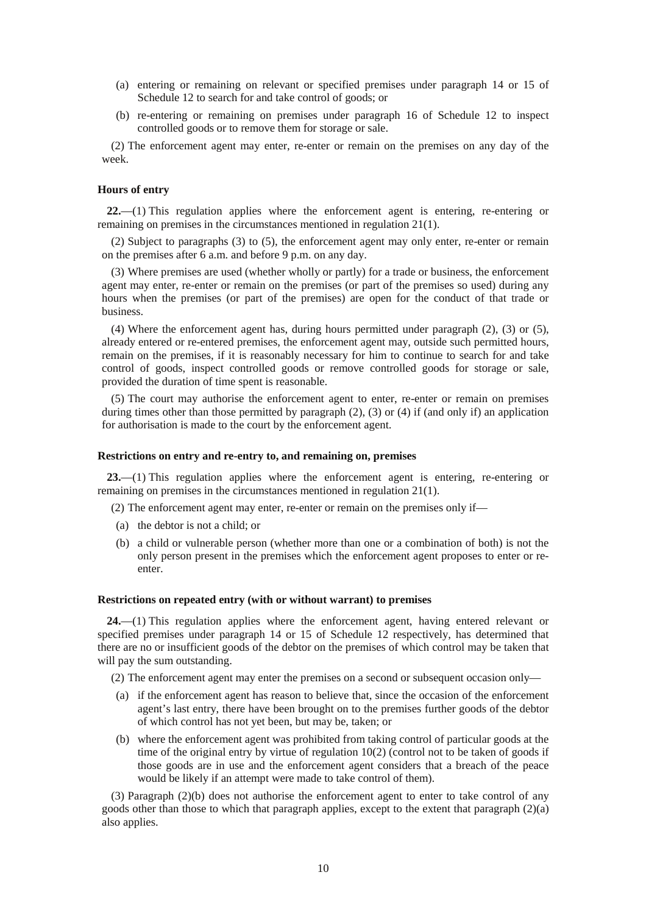- (a) entering or remaining on relevant or specified premises under paragraph 14 or 15 of Schedule 12 to search for and take control of goods; or
- (b) re-entering or remaining on premises under paragraph 16 of Schedule 12 to inspect controlled goods or to remove them for storage or sale.

(2) The enforcement agent may enter, re-enter or remain on the premises on any day of the week.

## **Hours of entry**

**22.**—(1) This regulation applies where the enforcement agent is entering, re-entering or remaining on premises in the circumstances mentioned in regulation 21(1).

(2) Subject to paragraphs (3) to (5), the enforcement agent may only enter, re-enter or remain on the premises after 6 a.m. and before 9 p.m. on any day.

(3) Where premises are used (whether wholly or partly) for a trade or business, the enforcement agent may enter, re-enter or remain on the premises (or part of the premises so used) during any hours when the premises (or part of the premises) are open for the conduct of that trade or business.

(4) Where the enforcement agent has, during hours permitted under paragraph (2), (3) or (5), already entered or re-entered premises, the enforcement agent may, outside such permitted hours, remain on the premises, if it is reasonably necessary for him to continue to search for and take control of goods, inspect controlled goods or remove controlled goods for storage or sale, provided the duration of time spent is reasonable.

(5) The court may authorise the enforcement agent to enter, re-enter or remain on premises during times other than those permitted by paragraph (2), (3) or (4) if (and only if) an application for authorisation is made to the court by the enforcement agent.

#### **Restrictions on entry and re-entry to, and remaining on, premises**

**23.**—(1) This regulation applies where the enforcement agent is entering, re-entering or remaining on premises in the circumstances mentioned in regulation 21(1).

(2) The enforcement agent may enter, re-enter or remain on the premises only if—

- (a) the debtor is not a child; or
- (b) a child or vulnerable person (whether more than one or a combination of both) is not the only person present in the premises which the enforcement agent proposes to enter or reenter.

#### **Restrictions on repeated entry (with or without warrant) to premises**

**24.**—(1) This regulation applies where the enforcement agent, having entered relevant or specified premises under paragraph 14 or 15 of Schedule 12 respectively, has determined that there are no or insufficient goods of the debtor on the premises of which control may be taken that will pay the sum outstanding.

- (2) The enforcement agent may enter the premises on a second or subsequent occasion only—
- (a) if the enforcement agent has reason to believe that, since the occasion of the enforcement agent's last entry, there have been brought on to the premises further goods of the debtor of which control has not yet been, but may be, taken; or
- (b) where the enforcement agent was prohibited from taking control of particular goods at the time of the original entry by virtue of regulation  $10(2)$  (control not to be taken of goods if those goods are in use and the enforcement agent considers that a breach of the peace would be likely if an attempt were made to take control of them).

(3) Paragraph (2)(b) does not authorise the enforcement agent to enter to take control of any goods other than those to which that paragraph applies, except to the extent that paragraph  $(2)(a)$ also applies.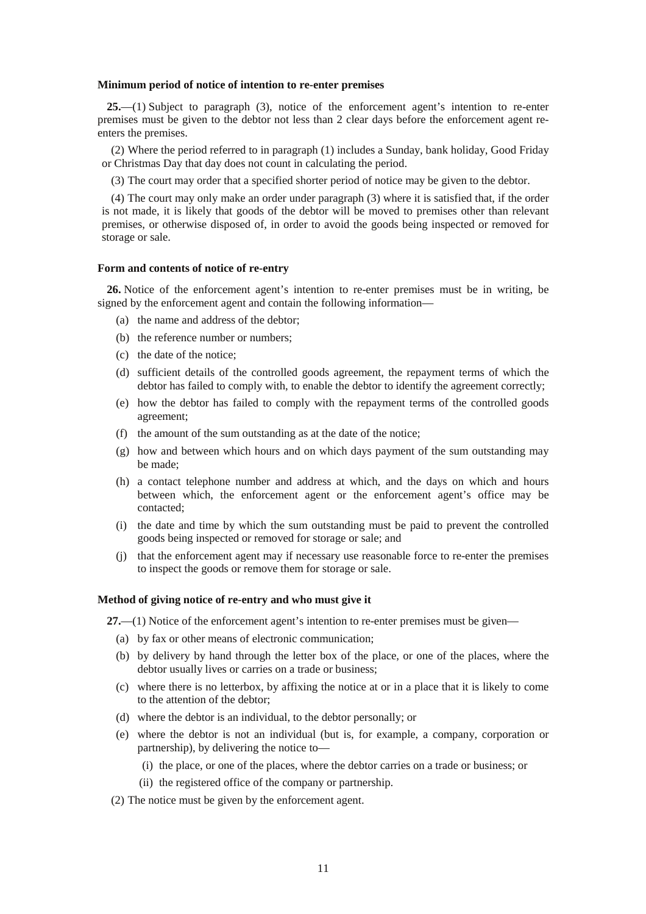#### **Minimum period of notice of intention to re-enter premises**

**25.**—(1) Subject to paragraph (3), notice of the enforcement agent's intention to re-enter premises must be given to the debtor not less than 2 clear days before the enforcement agent reenters the premises.

(2) Where the period referred to in paragraph (1) includes a Sunday, bank holiday, Good Friday or Christmas Day that day does not count in calculating the period.

(3) The court may order that a specified shorter period of notice may be given to the debtor.

(4) The court may only make an order under paragraph (3) where it is satisfied that, if the order is not made, it is likely that goods of the debtor will be moved to premises other than relevant premises, or otherwise disposed of, in order to avoid the goods being inspected or removed for storage or sale.

#### **Form and contents of notice of re-entry**

**26.** Notice of the enforcement agent's intention to re-enter premises must be in writing, be signed by the enforcement agent and contain the following information—

- (a) the name and address of the debtor;
- (b) the reference number or numbers;
- (c) the date of the notice;
- (d) sufficient details of the controlled goods agreement, the repayment terms of which the debtor has failed to comply with, to enable the debtor to identify the agreement correctly;
- (e) how the debtor has failed to comply with the repayment terms of the controlled goods agreement;
- (f) the amount of the sum outstanding as at the date of the notice;
- (g) how and between which hours and on which days payment of the sum outstanding may be made;
- (h) a contact telephone number and address at which, and the days on which and hours between which, the enforcement agent or the enforcement agent's office may be contacted;
- (i) the date and time by which the sum outstanding must be paid to prevent the controlled goods being inspected or removed for storage or sale; and
- (j) that the enforcement agent may if necessary use reasonable force to re-enter the premises to inspect the goods or remove them for storage or sale.

### **Method of giving notice of re-entry and who must give it**

**27.**—(1) Notice of the enforcement agent's intention to re-enter premises must be given—

- (a) by fax or other means of electronic communication;
- (b) by delivery by hand through the letter box of the place, or one of the places, where the debtor usually lives or carries on a trade or business;
- (c) where there is no letterbox, by affixing the notice at or in a place that it is likely to come to the attention of the debtor;
- (d) where the debtor is an individual, to the debtor personally; or
- (e) where the debtor is not an individual (but is, for example, a company, corporation or partnership), by delivering the notice to—
	- (i) the place, or one of the places, where the debtor carries on a trade or business; or
	- (ii) the registered office of the company or partnership.
- (2) The notice must be given by the enforcement agent.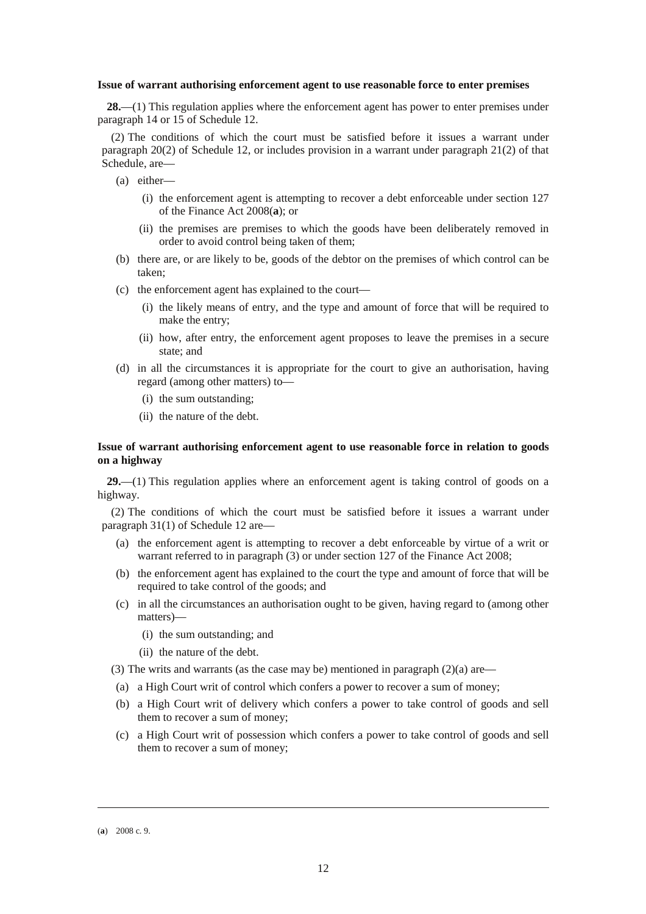#### **Issue of warrant authorising enforcement agent to use reasonable force to enter premises**

**28.**—(1) This regulation applies where the enforcement agent has power to enter premises under paragraph 14 or 15 of Schedule 12.

(2) The conditions of which the court must be satisfied before it issues a warrant under paragraph 20(2) of Schedule 12, or includes provision in a warrant under paragraph 21(2) of that Schedule, are—

- (a) either—
	- (i) the enforcement agent is attempting to recover a debt enforceable under section 127 of the Finance Act 2008(**a**); or
	- (ii) the premises are premises to which the goods have been deliberately removed in order to avoid control being taken of them;
- (b) there are, or are likely to be, goods of the debtor on the premises of which control can be taken;
- (c) the enforcement agent has explained to the court—
	- (i) the likely means of entry, and the type and amount of force that will be required to make the entry;
	- (ii) how, after entry, the enforcement agent proposes to leave the premises in a secure state; and
- (d) in all the circumstances it is appropriate for the court to give an authorisation, having regard (among other matters) to—
	- (i) the sum outstanding;
	- (ii) the nature of the debt.

### **Issue of warrant authorising enforcement agent to use reasonable force in relation to goods on a highway**

**29.**—(1) This regulation applies where an enforcement agent is taking control of goods on a highway.

(2) The conditions of which the court must be satisfied before it issues a warrant under paragraph 31(1) of Schedule 12 are—

- (a) the enforcement agent is attempting to recover a debt enforceable by virtue of a writ or warrant referred to in paragraph (3) or under section 127 of the Finance Act 2008;
- (b) the enforcement agent has explained to the court the type and amount of force that will be required to take control of the goods; and
- (c) in all the circumstances an authorisation ought to be given, having regard to (among other matters)—
	- (i) the sum outstanding; and
	- (ii) the nature of the debt.
- (3) The writs and warrants (as the case may be) mentioned in paragraph (2)(a) are—
- (a) a High Court writ of control which confers a power to recover a sum of money;
- (b) a High Court writ of delivery which confers a power to take control of goods and sell them to recover a sum of money;
- (c) a High Court writ of possession which confers a power to take control of goods and sell them to recover a sum of money;

-

<sup>(</sup>**a**) 2008 c. 9.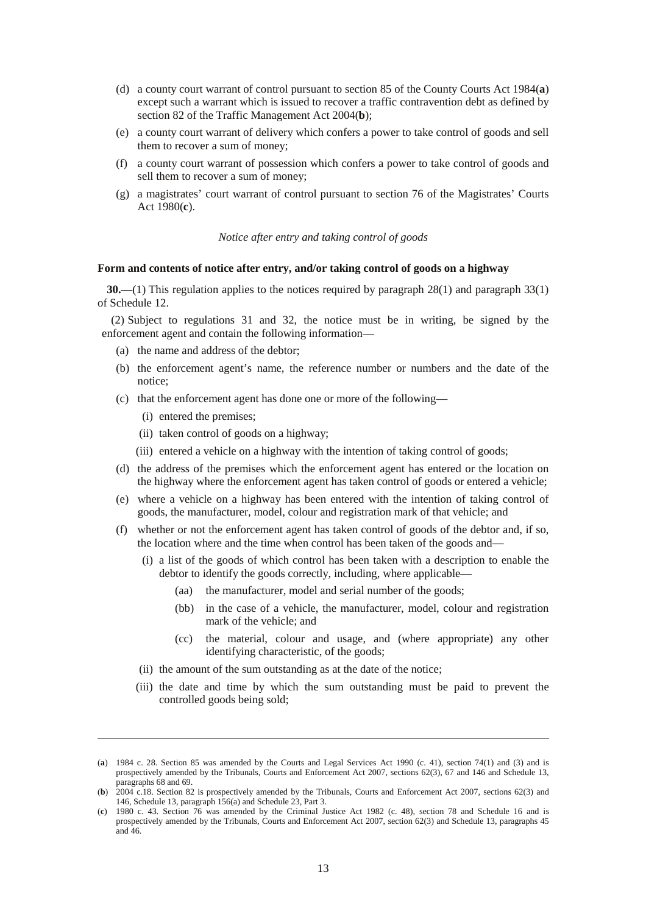- (d) a county court warrant of control pursuant to section 85 of the County Courts Act 1984(**a**) except such a warrant which is issued to recover a traffic contravention debt as defined by section 82 of the Traffic Management Act 2004(**b**);
- (e) a county court warrant of delivery which confers a power to take control of goods and sell them to recover a sum of money;
- (f) a county court warrant of possession which confers a power to take control of goods and sell them to recover a sum of money;
- (g) a magistrates' court warrant of control pursuant to section 76 of the Magistrates' Courts Act 1980(**c**).

*Notice after entry and taking control of goods* 

### **Form and contents of notice after entry, and/or taking control of goods on a highway**

**30.**—(1) This regulation applies to the notices required by paragraph 28(1) and paragraph 33(1) of Schedule 12.

(2) Subject to regulations 31 and 32, the notice must be in writing, be signed by the enforcement agent and contain the following information—

- (a) the name and address of the debtor;
- (b) the enforcement agent's name, the reference number or numbers and the date of the notice;
- (c) that the enforcement agent has done one or more of the following—
	- (i) entered the premises;

-

- (ii) taken control of goods on a highway;
- (iii) entered a vehicle on a highway with the intention of taking control of goods;
- (d) the address of the premises which the enforcement agent has entered or the location on the highway where the enforcement agent has taken control of goods or entered a vehicle;
- (e) where a vehicle on a highway has been entered with the intention of taking control of goods, the manufacturer, model, colour and registration mark of that vehicle; and
- (f) whether or not the enforcement agent has taken control of goods of the debtor and, if so, the location where and the time when control has been taken of the goods and—
	- (i) a list of the goods of which control has been taken with a description to enable the debtor to identify the goods correctly, including, where applicable—
		- (aa) the manufacturer, model and serial number of the goods;
		- (bb) in the case of a vehicle, the manufacturer, model, colour and registration mark of the vehicle; and
		- (cc) the material, colour and usage, and (where appropriate) any other identifying characteristic, of the goods;
	- (ii) the amount of the sum outstanding as at the date of the notice;
	- (iii) the date and time by which the sum outstanding must be paid to prevent the controlled goods being sold;

<sup>(</sup>**a**) 1984 c. 28. Section 85 was amended by the Courts and Legal Services Act 1990 (c. 41), section 74(1) and (3) and is prospectively amended by the Tribunals, Courts and Enforcement Act 2007, sections 62(3), 67 and 146 and Schedule 13, paragraphs 68 and 69.

<sup>(</sup>**b**) 2004 c.18. Section 82 is prospectively amended by the Tribunals, Courts and Enforcement Act 2007, sections 62(3) and 146, Schedule 13, paragraph 156(a) and Schedule 23, Part 3.

<sup>(</sup>**c**) 1980 c. 43. Section 76 was amended by the Criminal Justice Act 1982 (c. 48), section 78 and Schedule 16 and is prospectively amended by the Tribunals, Courts and Enforcement Act 2007, section 62(3) and Schedule 13, paragraphs 45 and 46.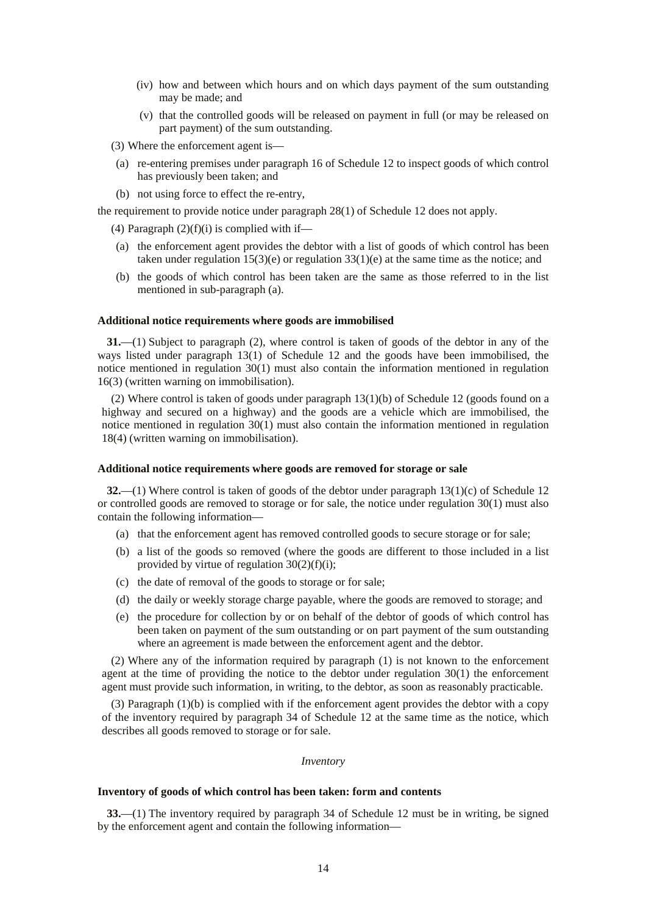- (iv) how and between which hours and on which days payment of the sum outstanding may be made; and
- (v) that the controlled goods will be released on payment in full (or may be released on part payment) of the sum outstanding.
- (3) Where the enforcement agent is—
- (a) re-entering premises under paragraph 16 of Schedule 12 to inspect goods of which control has previously been taken; and
- (b) not using force to effect the re-entry,

the requirement to provide notice under paragraph 28(1) of Schedule 12 does not apply.

(4) Paragraph  $(2)(f)(i)$  is complied with if—

- (a) the enforcement agent provides the debtor with a list of goods of which control has been taken under regulation  $15(3)(e)$  or regulation  $33(1)(e)$  at the same time as the notice; and
- (b) the goods of which control has been taken are the same as those referred to in the list mentioned in sub-paragraph (a).

#### **Additional notice requirements where goods are immobilised**

**31.**—(1) Subject to paragraph (2), where control is taken of goods of the debtor in any of the ways listed under paragraph 13(1) of Schedule 12 and the goods have been immobilised, the notice mentioned in regulation 30(1) must also contain the information mentioned in regulation 16(3) (written warning on immobilisation).

(2) Where control is taken of goods under paragraph 13(1)(b) of Schedule 12 (goods found on a highway and secured on a highway) and the goods are a vehicle which are immobilised, the notice mentioned in regulation 30(1) must also contain the information mentioned in regulation 18(4) (written warning on immobilisation).

#### **Additional notice requirements where goods are removed for storage or sale**

**32.**—(1) Where control is taken of goods of the debtor under paragraph 13(1)(c) of Schedule 12 or controlled goods are removed to storage or for sale, the notice under regulation 30(1) must also contain the following information—

- (a) that the enforcement agent has removed controlled goods to secure storage or for sale;
- (b) a list of the goods so removed (where the goods are different to those included in a list provided by virtue of regulation  $30(2)(f)(i)$ ;
- (c) the date of removal of the goods to storage or for sale;
- (d) the daily or weekly storage charge payable, where the goods are removed to storage; and
- (e) the procedure for collection by or on behalf of the debtor of goods of which control has been taken on payment of the sum outstanding or on part payment of the sum outstanding where an agreement is made between the enforcement agent and the debtor.

(2) Where any of the information required by paragraph (1) is not known to the enforcement agent at the time of providing the notice to the debtor under regulation 30(1) the enforcement agent must provide such information, in writing, to the debtor, as soon as reasonably practicable.

(3) Paragraph (1)(b) is complied with if the enforcement agent provides the debtor with a copy of the inventory required by paragraph 34 of Schedule 12 at the same time as the notice, which describes all goods removed to storage or for sale.

### *Inventory*

### **Inventory of goods of which control has been taken: form and contents**

**33.**—(1) The inventory required by paragraph 34 of Schedule 12 must be in writing, be signed by the enforcement agent and contain the following information—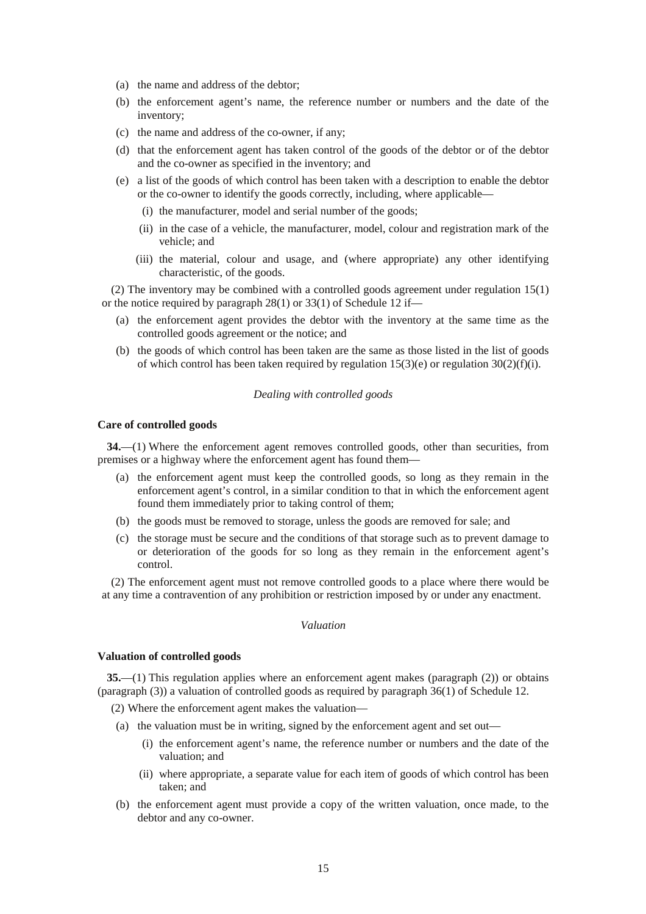- (a) the name and address of the debtor;
- (b) the enforcement agent's name, the reference number or numbers and the date of the inventory;
- (c) the name and address of the co-owner, if any;
- (d) that the enforcement agent has taken control of the goods of the debtor or of the debtor and the co-owner as specified in the inventory; and
- (e) a list of the goods of which control has been taken with a description to enable the debtor or the co-owner to identify the goods correctly, including, where applicable—
	- (i) the manufacturer, model and serial number of the goods;
	- (ii) in the case of a vehicle, the manufacturer, model, colour and registration mark of the vehicle; and
	- (iii) the material, colour and usage, and (where appropriate) any other identifying characteristic, of the goods.

(2) The inventory may be combined with a controlled goods agreement under regulation 15(1) or the notice required by paragraph 28(1) or 33(1) of Schedule 12 if—

- (a) the enforcement agent provides the debtor with the inventory at the same time as the controlled goods agreement or the notice; and
- (b) the goods of which control has been taken are the same as those listed in the list of goods of which control has been taken required by regulation  $15(3)(e)$  or regulation  $30(2)(f)(i)$ .

### *Dealing with controlled goods*

### **Care of controlled goods**

**34.**—(1) Where the enforcement agent removes controlled goods, other than securities, from premises or a highway where the enforcement agent has found them—

- (a) the enforcement agent must keep the controlled goods, so long as they remain in the enforcement agent's control, in a similar condition to that in which the enforcement agent found them immediately prior to taking control of them;
- (b) the goods must be removed to storage, unless the goods are removed for sale; and
- (c) the storage must be secure and the conditions of that storage such as to prevent damage to or deterioration of the goods for so long as they remain in the enforcement agent's control.

(2) The enforcement agent must not remove controlled goods to a place where there would be at any time a contravention of any prohibition or restriction imposed by or under any enactment.

#### *Valuation*

#### **Valuation of controlled goods**

**35.**—(1) This regulation applies where an enforcement agent makes (paragraph (2)) or obtains (paragraph (3)) a valuation of controlled goods as required by paragraph 36(1) of Schedule 12.

(2) Where the enforcement agent makes the valuation—

- (a) the valuation must be in writing, signed by the enforcement agent and set out—
	- (i) the enforcement agent's name, the reference number or numbers and the date of the valuation; and
	- (ii) where appropriate, a separate value for each item of goods of which control has been taken; and
- (b) the enforcement agent must provide a copy of the written valuation, once made, to the debtor and any co-owner.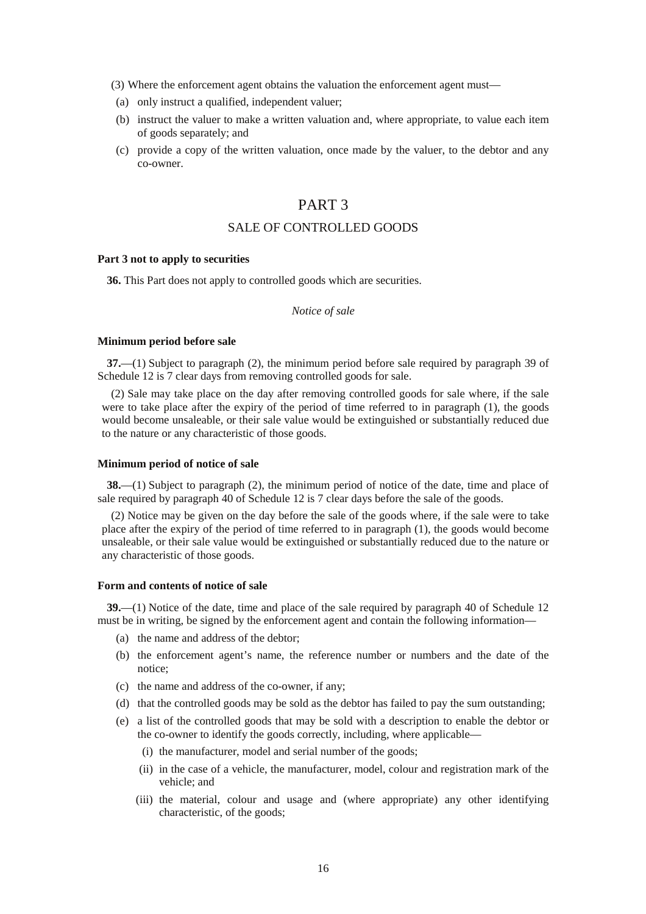(3) Where the enforcement agent obtains the valuation the enforcement agent must—

- (a) only instruct a qualified, independent valuer;
- (b) instruct the valuer to make a written valuation and, where appropriate, to value each item of goods separately; and
- (c) provide a copy of the written valuation, once made by the valuer, to the debtor and any co-owner.

## PART 3

## SALE OF CONTROLLED GOODS

### **Part 3 not to apply to securities**

**36.** This Part does not apply to controlled goods which are securities.

## *Notice of sale*

## **Minimum period before sale**

**37.**—(1) Subject to paragraph (2), the minimum period before sale required by paragraph 39 of Schedule 12 is 7 clear days from removing controlled goods for sale.

(2) Sale may take place on the day after removing controlled goods for sale where, if the sale were to take place after the expiry of the period of time referred to in paragraph (1), the goods would become unsaleable, or their sale value would be extinguished or substantially reduced due to the nature or any characteristic of those goods.

#### **Minimum period of notice of sale**

**38.**—(1) Subject to paragraph (2), the minimum period of notice of the date, time and place of sale required by paragraph 40 of Schedule 12 is 7 clear days before the sale of the goods.

(2) Notice may be given on the day before the sale of the goods where, if the sale were to take place after the expiry of the period of time referred to in paragraph (1), the goods would become unsaleable, or their sale value would be extinguished or substantially reduced due to the nature or any characteristic of those goods.

### **Form and contents of notice of sale**

**39.**—(1) Notice of the date, time and place of the sale required by paragraph 40 of Schedule 12 must be in writing, be signed by the enforcement agent and contain the following information—

- (a) the name and address of the debtor;
- (b) the enforcement agent's name, the reference number or numbers and the date of the notice;
- (c) the name and address of the co-owner, if any;
- (d) that the controlled goods may be sold as the debtor has failed to pay the sum outstanding;
- (e) a list of the controlled goods that may be sold with a description to enable the debtor or the co-owner to identify the goods correctly, including, where applicable—
	- (i) the manufacturer, model and serial number of the goods;
	- (ii) in the case of a vehicle, the manufacturer, model, colour and registration mark of the vehicle; and
	- (iii) the material, colour and usage and (where appropriate) any other identifying characteristic, of the goods;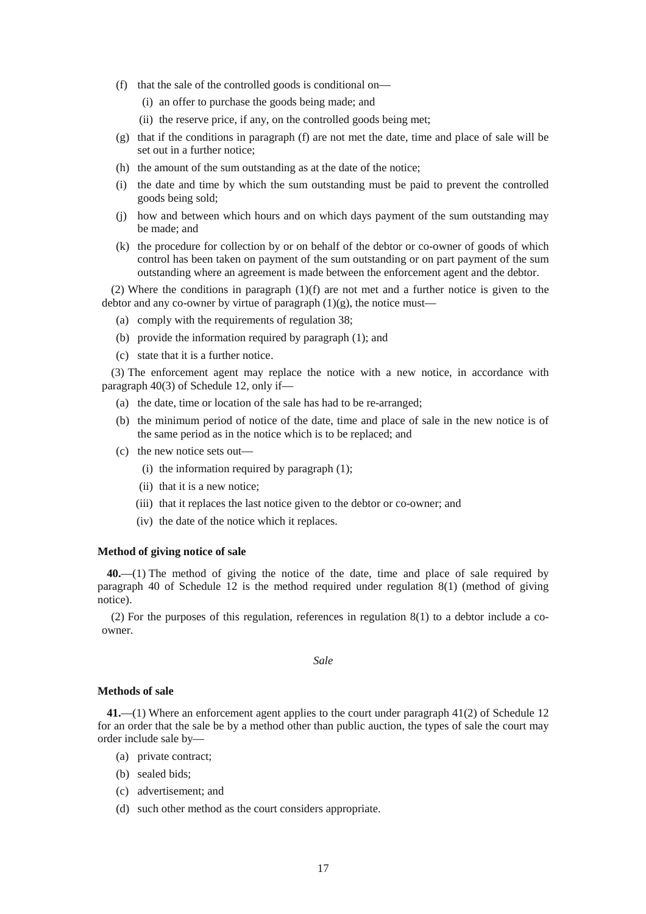- (f) that the sale of the controlled goods is conditional on—
	- (i) an offer to purchase the goods being made; and
	- (ii) the reserve price, if any, on the controlled goods being met;
- (g) that if the conditions in paragraph (f) are not met the date, time and place of sale will be set out in a further notice;
- (h) the amount of the sum outstanding as at the date of the notice;
- (i) the date and time by which the sum outstanding must be paid to prevent the controlled goods being sold;
- (j) how and between which hours and on which days payment of the sum outstanding may be made; and
- (k) the procedure for collection by or on behalf of the debtor or co-owner of goods of which control has been taken on payment of the sum outstanding or on part payment of the sum outstanding where an agreement is made between the enforcement agent and the debtor.

(2) Where the conditions in paragraph (1)(f) are not met and a further notice is given to the debtor and any co-owner by virtue of paragraph  $(1)(g)$ , the notice must—

- (a) comply with the requirements of regulation 38;
- (b) provide the information required by paragraph (1); and
- (c) state that it is a further notice.

(3) The enforcement agent may replace the notice with a new notice, in accordance with paragraph 40(3) of Schedule 12, only if—

- (a) the date, time or location of the sale has had to be re-arranged;
- (b) the minimum period of notice of the date, time and place of sale in the new notice is of the same period as in the notice which is to be replaced; and
- (c) the new notice sets out—
	- (i) the information required by paragraph (1);
	- (ii) that it is a new notice;
	- (iii) that it replaces the last notice given to the debtor or co-owner; and
	- (iv) the date of the notice which it replaces.

#### **Method of giving notice of sale**

**40.**—(1) The method of giving the notice of the date, time and place of sale required by paragraph 40 of Schedule 12 is the method required under regulation 8(1) (method of giving notice).

(2) For the purposes of this regulation, references in regulation 8(1) to a debtor include a coowner.

*Sale* 

#### **Methods of sale**

**41.**—(1) Where an enforcement agent applies to the court under paragraph 41(2) of Schedule 12 for an order that the sale be by a method other than public auction, the types of sale the court may order include sale by—

- (a) private contract;
- (b) sealed bids;
- (c) advertisement; and
- (d) such other method as the court considers appropriate.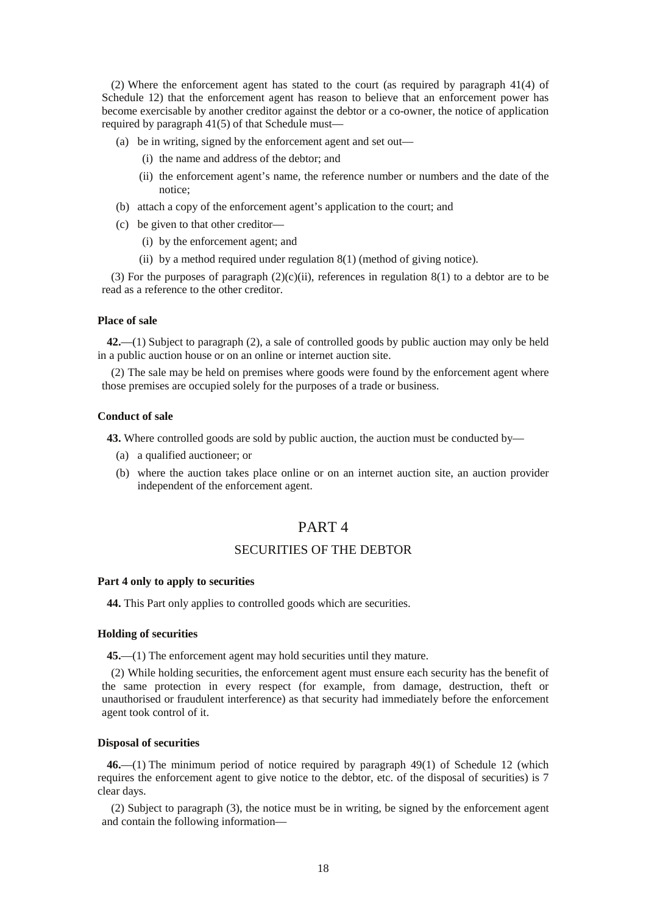(2) Where the enforcement agent has stated to the court (as required by paragraph 41(4) of Schedule 12) that the enforcement agent has reason to believe that an enforcement power has become exercisable by another creditor against the debtor or a co-owner, the notice of application required by paragraph 41(5) of that Schedule must—

- (a) be in writing, signed by the enforcement agent and set out—
	- (i) the name and address of the debtor; and
	- (ii) the enforcement agent's name, the reference number or numbers and the date of the notice;
- (b) attach a copy of the enforcement agent's application to the court; and
- (c) be given to that other creditor—
	- (i) by the enforcement agent; and
	- (ii) by a method required under regulation 8(1) (method of giving notice).

(3) For the purposes of paragraph  $(2)(c)(ii)$ , references in regulation  $8(1)$  to a debtor are to be read as a reference to the other creditor.

#### **Place of sale**

**42.**—(1) Subject to paragraph (2), a sale of controlled goods by public auction may only be held in a public auction house or on an online or internet auction site.

(2) The sale may be held on premises where goods were found by the enforcement agent where those premises are occupied solely for the purposes of a trade or business.

### **Conduct of sale**

**43.** Where controlled goods are sold by public auction, the auction must be conducted by—

- (a) a qualified auctioneer; or
- (b) where the auction takes place online or on an internet auction site, an auction provider independent of the enforcement agent.

## PART 4

## SECURITIES OF THE DEBTOR

#### **Part 4 only to apply to securities**

**44.** This Part only applies to controlled goods which are securities.

## **Holding of securities**

**45.**—(1) The enforcement agent may hold securities until they mature.

(2) While holding securities, the enforcement agent must ensure each security has the benefit of the same protection in every respect (for example, from damage, destruction, theft or unauthorised or fraudulent interference) as that security had immediately before the enforcement agent took control of it.

## **Disposal of securities**

**46.**—(1) The minimum period of notice required by paragraph 49(1) of Schedule 12 (which requires the enforcement agent to give notice to the debtor, etc. of the disposal of securities) is 7 clear days.

(2) Subject to paragraph (3), the notice must be in writing, be signed by the enforcement agent and contain the following information—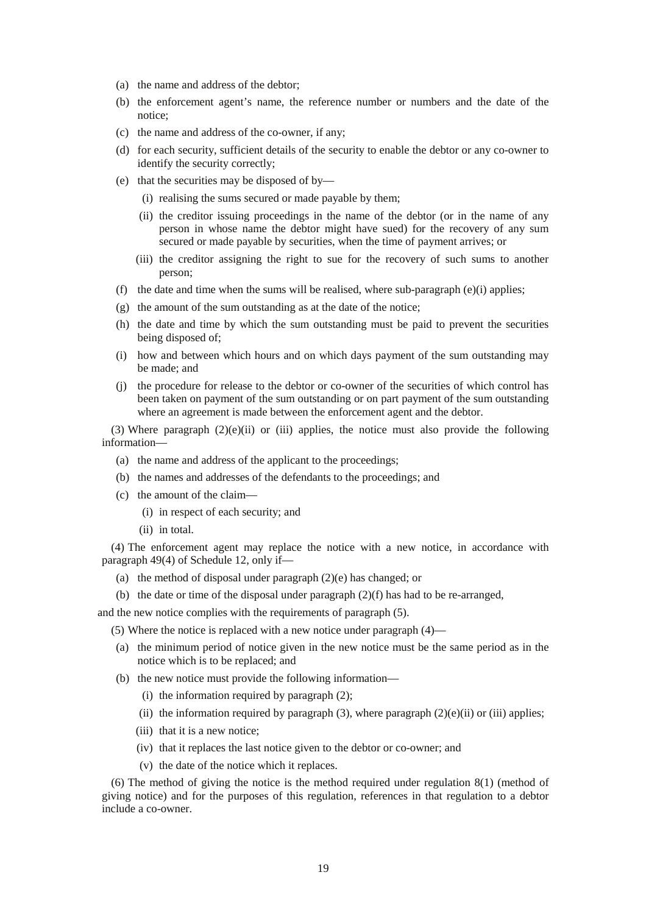- (a) the name and address of the debtor;
- (b) the enforcement agent's name, the reference number or numbers and the date of the notice;
- (c) the name and address of the co-owner, if any;
- (d) for each security, sufficient details of the security to enable the debtor or any co-owner to identify the security correctly;
- (e) that the securities may be disposed of by—
	- (i) realising the sums secured or made payable by them;
	- (ii) the creditor issuing proceedings in the name of the debtor (or in the name of any person in whose name the debtor might have sued) for the recovery of any sum secured or made payable by securities, when the time of payment arrives; or
	- (iii) the creditor assigning the right to sue for the recovery of such sums to another person;
- (f) the date and time when the sums will be realised, where sub-paragraph (e)(i) applies;
- (g) the amount of the sum outstanding as at the date of the notice;
- (h) the date and time by which the sum outstanding must be paid to prevent the securities being disposed of;
- (i) how and between which hours and on which days payment of the sum outstanding may be made; and
- (j) the procedure for release to the debtor or co-owner of the securities of which control has been taken on payment of the sum outstanding or on part payment of the sum outstanding where an agreement is made between the enforcement agent and the debtor.

(3) Where paragraph  $(2)(e)(ii)$  or (iii) applies, the notice must also provide the following information—

- (a) the name and address of the applicant to the proceedings;
- (b) the names and addresses of the defendants to the proceedings; and
- (c) the amount of the claim—
	- (i) in respect of each security; and
	- (ii) in total.

(4) The enforcement agent may replace the notice with a new notice, in accordance with paragraph 49(4) of Schedule 12, only if—

- (a) the method of disposal under paragraph (2)(e) has changed; or
- (b) the date or time of the disposal under paragraph (2)(f) has had to be re-arranged,

and the new notice complies with the requirements of paragraph (5).

- (5) Where the notice is replaced with a new notice under paragraph (4)—
- (a) the minimum period of notice given in the new notice must be the same period as in the notice which is to be replaced; and
- (b) the new notice must provide the following information—
	- (i) the information required by paragraph (2);
	- (ii) the information required by paragraph  $(3)$ , where paragraph  $(2)(e)(ii)$  or (iii) applies;
	- (iii) that it is a new notice;
	- (iv) that it replaces the last notice given to the debtor or co-owner; and
	- (v) the date of the notice which it replaces.

(6) The method of giving the notice is the method required under regulation 8(1) (method of giving notice) and for the purposes of this regulation, references in that regulation to a debtor include a co-owner.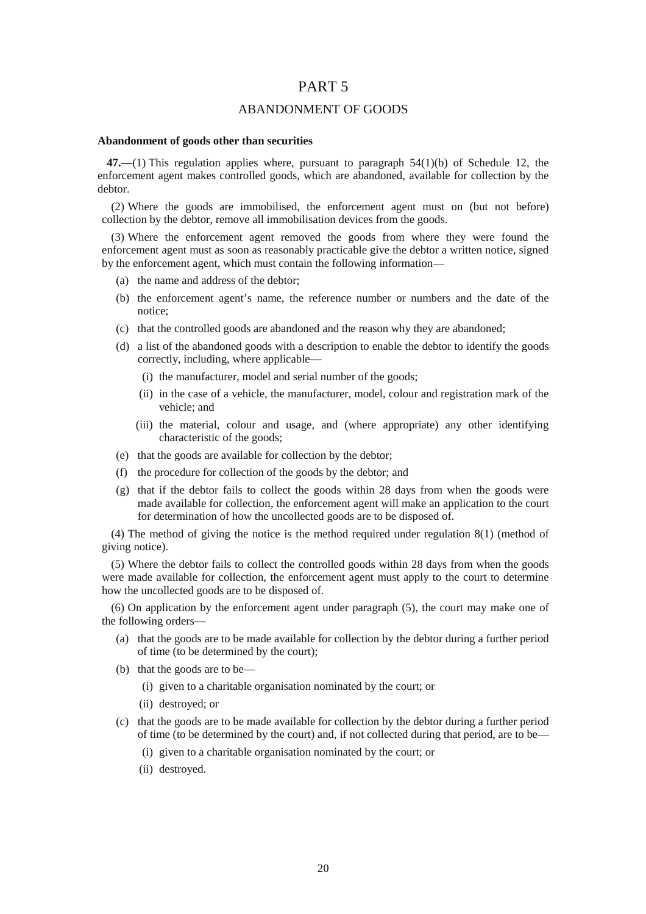## PART 5

## ABANDONMENT OF GOODS

#### **Abandonment of goods other than securities**

**47.**—(1) This regulation applies where, pursuant to paragraph 54(1)(b) of Schedule 12, the enforcement agent makes controlled goods, which are abandoned, available for collection by the debtor.

(2) Where the goods are immobilised, the enforcement agent must on (but not before) collection by the debtor, remove all immobilisation devices from the goods.

(3) Where the enforcement agent removed the goods from where they were found the enforcement agent must as soon as reasonably practicable give the debtor a written notice, signed by the enforcement agent, which must contain the following information—

- (a) the name and address of the debtor;
- (b) the enforcement agent's name, the reference number or numbers and the date of the notice;
- (c) that the controlled goods are abandoned and the reason why they are abandoned;
- (d) a list of the abandoned goods with a description to enable the debtor to identify the goods correctly, including, where applicable—
	- (i) the manufacturer, model and serial number of the goods;
	- (ii) in the case of a vehicle, the manufacturer, model, colour and registration mark of the vehicle; and
	- (iii) the material, colour and usage, and (where appropriate) any other identifying characteristic of the goods;
- (e) that the goods are available for collection by the debtor;
- (f) the procedure for collection of the goods by the debtor; and
- (g) that if the debtor fails to collect the goods within 28 days from when the goods were made available for collection, the enforcement agent will make an application to the court for determination of how the uncollected goods are to be disposed of.

(4) The method of giving the notice is the method required under regulation 8(1) (method of giving notice).

(5) Where the debtor fails to collect the controlled goods within 28 days from when the goods were made available for collection, the enforcement agent must apply to the court to determine how the uncollected goods are to be disposed of.

(6) On application by the enforcement agent under paragraph (5), the court may make one of the following orders—

- (a) that the goods are to be made available for collection by the debtor during a further period of time (to be determined by the court);
- (b) that the goods are to be—
	- (i) given to a charitable organisation nominated by the court; or
	- (ii) destroyed; or
- (c) that the goods are to be made available for collection by the debtor during a further period of time (to be determined by the court) and, if not collected during that period, are to be—
	- (i) given to a charitable organisation nominated by the court; or
	- (ii) destroyed.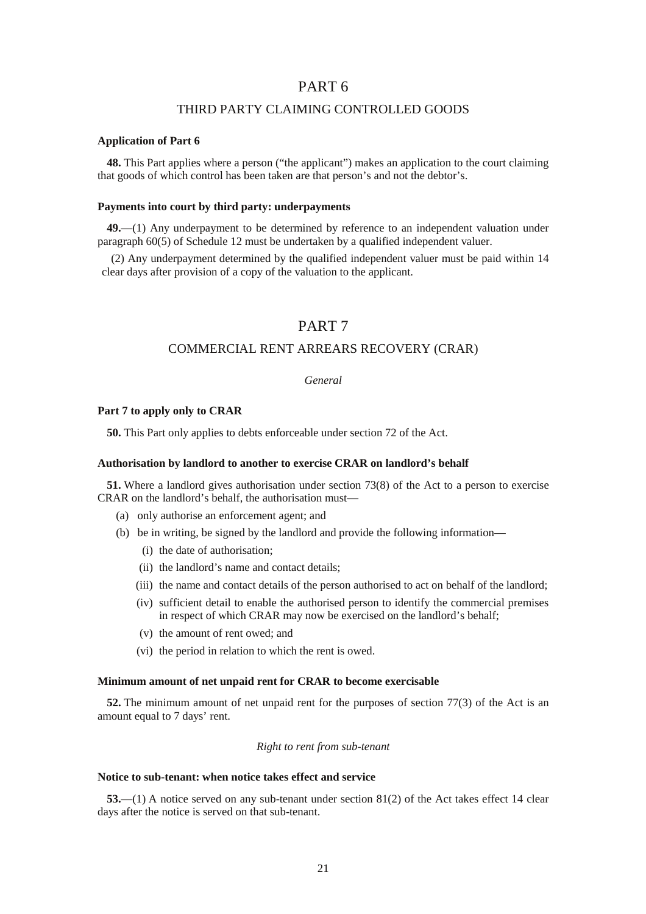## PART 6

## THIRD PARTY CLAIMING CONTROLLED GOODS

### **Application of Part 6**

**48.** This Part applies where a person ("the applicant") makes an application to the court claiming that goods of which control has been taken are that person's and not the debtor's.

#### **Payments into court by third party: underpayments**

**49.**—(1) Any underpayment to be determined by reference to an independent valuation under paragraph 60(5) of Schedule 12 must be undertaken by a qualified independent valuer.

(2) Any underpayment determined by the qualified independent valuer must be paid within 14 clear days after provision of a copy of the valuation to the applicant.

## PART 7

## COMMERCIAL RENT ARREARS RECOVERY (CRAR)

## *General*

### **Part 7 to apply only to CRAR**

**50.** This Part only applies to debts enforceable under section 72 of the Act.

### **Authorisation by landlord to another to exercise CRAR on landlord's behalf**

**51.** Where a landlord gives authorisation under section 73(8) of the Act to a person to exercise CRAR on the landlord's behalf, the authorisation must—

- (a) only authorise an enforcement agent; and
- (b) be in writing, be signed by the landlord and provide the following information—
	- (i) the date of authorisation;
	- (ii) the landlord's name and contact details;
	- (iii) the name and contact details of the person authorised to act on behalf of the landlord;
	- (iv) sufficient detail to enable the authorised person to identify the commercial premises in respect of which CRAR may now be exercised on the landlord's behalf;
	- (v) the amount of rent owed; and
	- (vi) the period in relation to which the rent is owed.

#### **Minimum amount of net unpaid rent for CRAR to become exercisable**

**52.** The minimum amount of net unpaid rent for the purposes of section 77(3) of the Act is an amount equal to 7 days' rent.

#### *Right to rent from sub-tenant*

## **Notice to sub-tenant: when notice takes effect and service**

**53.**—(1) A notice served on any sub-tenant under section 81(2) of the Act takes effect 14 clear days after the notice is served on that sub-tenant.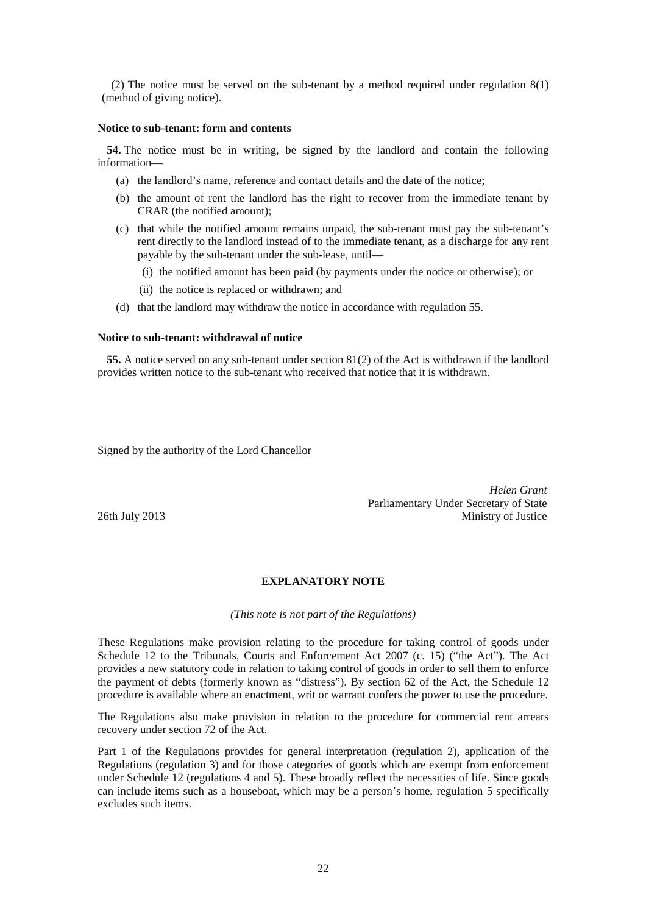(2) The notice must be served on the sub-tenant by a method required under regulation 8(1) (method of giving notice).

### **Notice to sub-tenant: form and contents**

**54.** The notice must be in writing, be signed by the landlord and contain the following information—

- (a) the landlord's name, reference and contact details and the date of the notice;
- (b) the amount of rent the landlord has the right to recover from the immediate tenant by CRAR (the notified amount);
- (c) that while the notified amount remains unpaid, the sub-tenant must pay the sub-tenant's rent directly to the landlord instead of to the immediate tenant, as a discharge for any rent payable by the sub-tenant under the sub-lease, until—
	- (i) the notified amount has been paid (by payments under the notice or otherwise); or
	- (ii) the notice is replaced or withdrawn; and
- (d) that the landlord may withdraw the notice in accordance with regulation 55.

#### **Notice to sub-tenant: withdrawal of notice**

**55.** A notice served on any sub-tenant under section 81(2) of the Act is withdrawn if the landlord provides written notice to the sub-tenant who received that notice that it is withdrawn.

Signed by the authority of the Lord Chancellor

*Helen Grant*  Parliamentary Under Secretary of State 26th July 2013 Ministry of Justice

## **EXPLANATORY NOTE**

*(This note is not part of the Regulations)* 

These Regulations make provision relating to the procedure for taking control of goods under Schedule 12 to the Tribunals, Courts and Enforcement Act 2007 (c. 15) ("the Act"). The Act provides a new statutory code in relation to taking control of goods in order to sell them to enforce the payment of debts (formerly known as "distress"). By section 62 of the Act, the Schedule 12 procedure is available where an enactment, writ or warrant confers the power to use the procedure.

The Regulations also make provision in relation to the procedure for commercial rent arrears recovery under section 72 of the Act.

Part 1 of the Regulations provides for general interpretation (regulation 2), application of the Regulations (regulation 3) and for those categories of goods which are exempt from enforcement under Schedule 12 (regulations 4 and 5). These broadly reflect the necessities of life. Since goods can include items such as a houseboat, which may be a person's home, regulation 5 specifically excludes such items.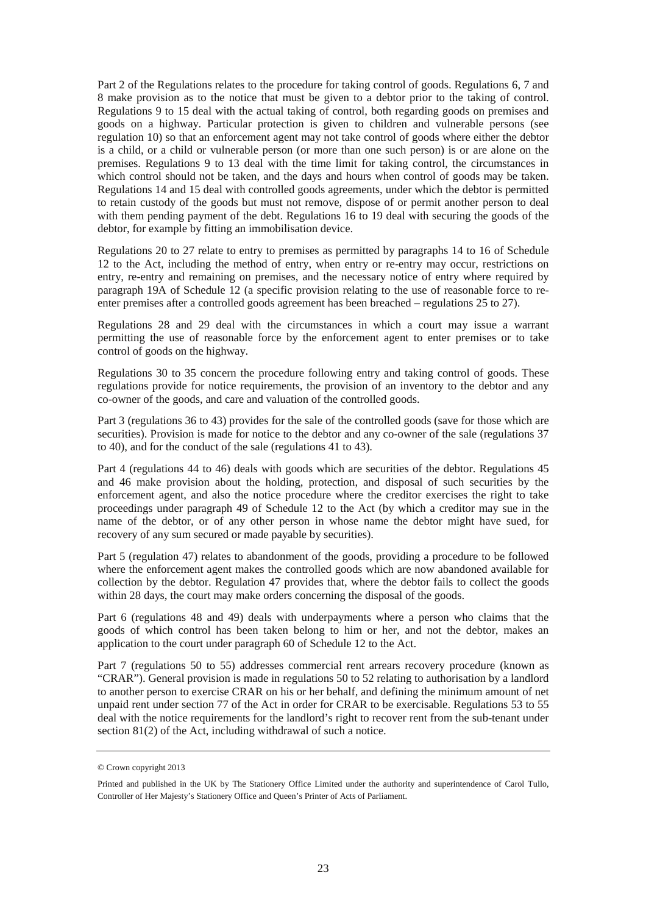Part 2 of the Regulations relates to the procedure for taking control of goods. Regulations 6, 7 and 8 make provision as to the notice that must be given to a debtor prior to the taking of control. Regulations 9 to 15 deal with the actual taking of control, both regarding goods on premises and goods on a highway. Particular protection is given to children and vulnerable persons (see regulation 10) so that an enforcement agent may not take control of goods where either the debtor is a child, or a child or vulnerable person (or more than one such person) is or are alone on the premises. Regulations 9 to 13 deal with the time limit for taking control, the circumstances in which control should not be taken, and the days and hours when control of goods may be taken. Regulations 14 and 15 deal with controlled goods agreements, under which the debtor is permitted to retain custody of the goods but must not remove, dispose of or permit another person to deal with them pending payment of the debt. Regulations 16 to 19 deal with securing the goods of the debtor, for example by fitting an immobilisation device.

Regulations 20 to 27 relate to entry to premises as permitted by paragraphs 14 to 16 of Schedule 12 to the Act, including the method of entry, when entry or re-entry may occur, restrictions on entry, re-entry and remaining on premises, and the necessary notice of entry where required by paragraph 19A of Schedule 12 (a specific provision relating to the use of reasonable force to reenter premises after a controlled goods agreement has been breached – regulations 25 to 27).

Regulations 28 and 29 deal with the circumstances in which a court may issue a warrant permitting the use of reasonable force by the enforcement agent to enter premises or to take control of goods on the highway.

Regulations 30 to 35 concern the procedure following entry and taking control of goods. These regulations provide for notice requirements, the provision of an inventory to the debtor and any co-owner of the goods, and care and valuation of the controlled goods.

Part 3 (regulations 36 to 43) provides for the sale of the controlled goods (save for those which are securities). Provision is made for notice to the debtor and any co-owner of the sale (regulations 37 to 40), and for the conduct of the sale (regulations 41 to 43).

Part 4 (regulations 44 to 46) deals with goods which are securities of the debtor. Regulations 45 and 46 make provision about the holding, protection, and disposal of such securities by the enforcement agent, and also the notice procedure where the creditor exercises the right to take proceedings under paragraph 49 of Schedule 12 to the Act (by which a creditor may sue in the name of the debtor, or of any other person in whose name the debtor might have sued, for recovery of any sum secured or made payable by securities).

Part 5 (regulation 47) relates to abandonment of the goods, providing a procedure to be followed where the enforcement agent makes the controlled goods which are now abandoned available for collection by the debtor. Regulation 47 provides that, where the debtor fails to collect the goods within 28 days, the court may make orders concerning the disposal of the goods.

Part 6 (regulations 48 and 49) deals with underpayments where a person who claims that the goods of which control has been taken belong to him or her, and not the debtor, makes an application to the court under paragraph 60 of Schedule 12 to the Act.

Part 7 (regulations 50 to 55) addresses commercial rent arrears recovery procedure (known as "CRAR"). General provision is made in regulations 50 to 52 relating to authorisation by a landlord to another person to exercise CRAR on his or her behalf, and defining the minimum amount of net unpaid rent under section 77 of the Act in order for CRAR to be exercisable. Regulations 53 to 55 deal with the notice requirements for the landlord's right to recover rent from the sub-tenant under section 81(2) of the Act, including withdrawal of such a notice.

<sup>©</sup> Crown copyright 2013

Printed and published in the UK by The Stationery Office Limited under the authority and superintendence of Carol Tullo, Controller of Her Majesty's Stationery Office and Queen's Printer of Acts of Parliament.